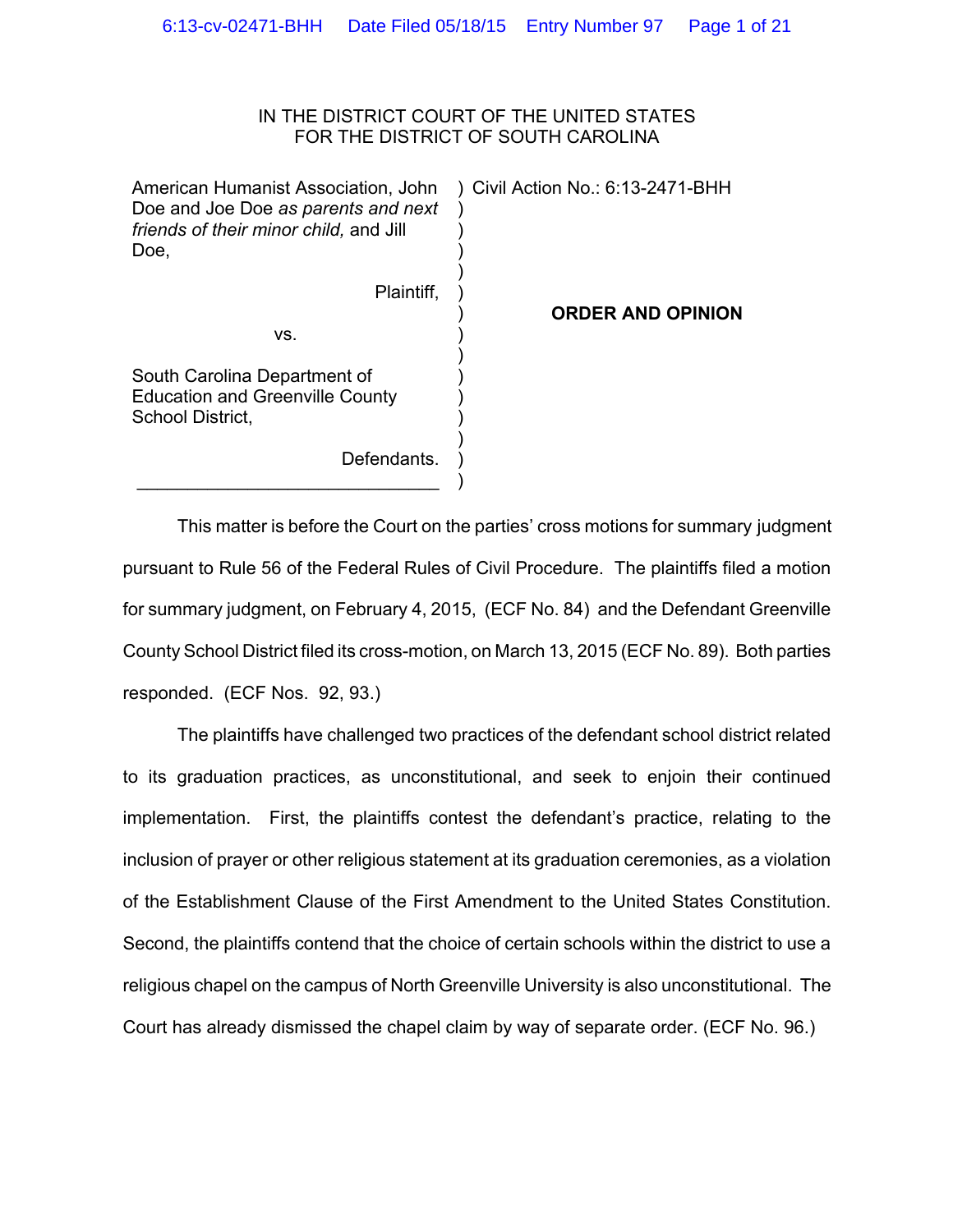# IN THE DISTRICT COURT OF THE UNITED STATES FOR THE DISTRICT OF SOUTH CAROLINA

| American Humanist Association, John<br>Doe and Joe Doe as parents and next<br>friends of their minor child, and Jill<br>Doe. | Civil Action No.: 6:13-2471-BHH |
|------------------------------------------------------------------------------------------------------------------------------|---------------------------------|
| Plaintiff.                                                                                                                   | <b>ORDER AND OPINION</b>        |
| VS.                                                                                                                          |                                 |
| South Carolina Department of<br><b>Education and Greenville County</b><br>School District,                                   |                                 |
| Defendants.                                                                                                                  |                                 |

 $\mathcal{L}_\mathcal{L}$ 

 This matter is before the Court on the parties' cross motions for summary judgment pursuant to Rule 56 of the Federal Rules of Civil Procedure. The plaintiffs filed a motion for summary judgment, on February 4, 2015, (ECF No. 84) and the Defendant Greenville County School District filed its cross-motion, on March 13, 2015 (ECF No. 89). Both parties responded. (ECF Nos. 92, 93.)

)

The plaintiffs have challenged two practices of the defendant school district related to its graduation practices, as unconstitutional, and seek to enjoin their continued implementation. First, the plaintiffs contest the defendant's practice, relating to the inclusion of prayer or other religious statement at its graduation ceremonies, as a violation of the Establishment Clause of the First Amendment to the United States Constitution. Second, the plaintiffs contend that the choice of certain schools within the district to use a religious chapel on the campus of North Greenville University is also unconstitutional. The Court has already dismissed the chapel claim by way of separate order. (ECF No. 96.)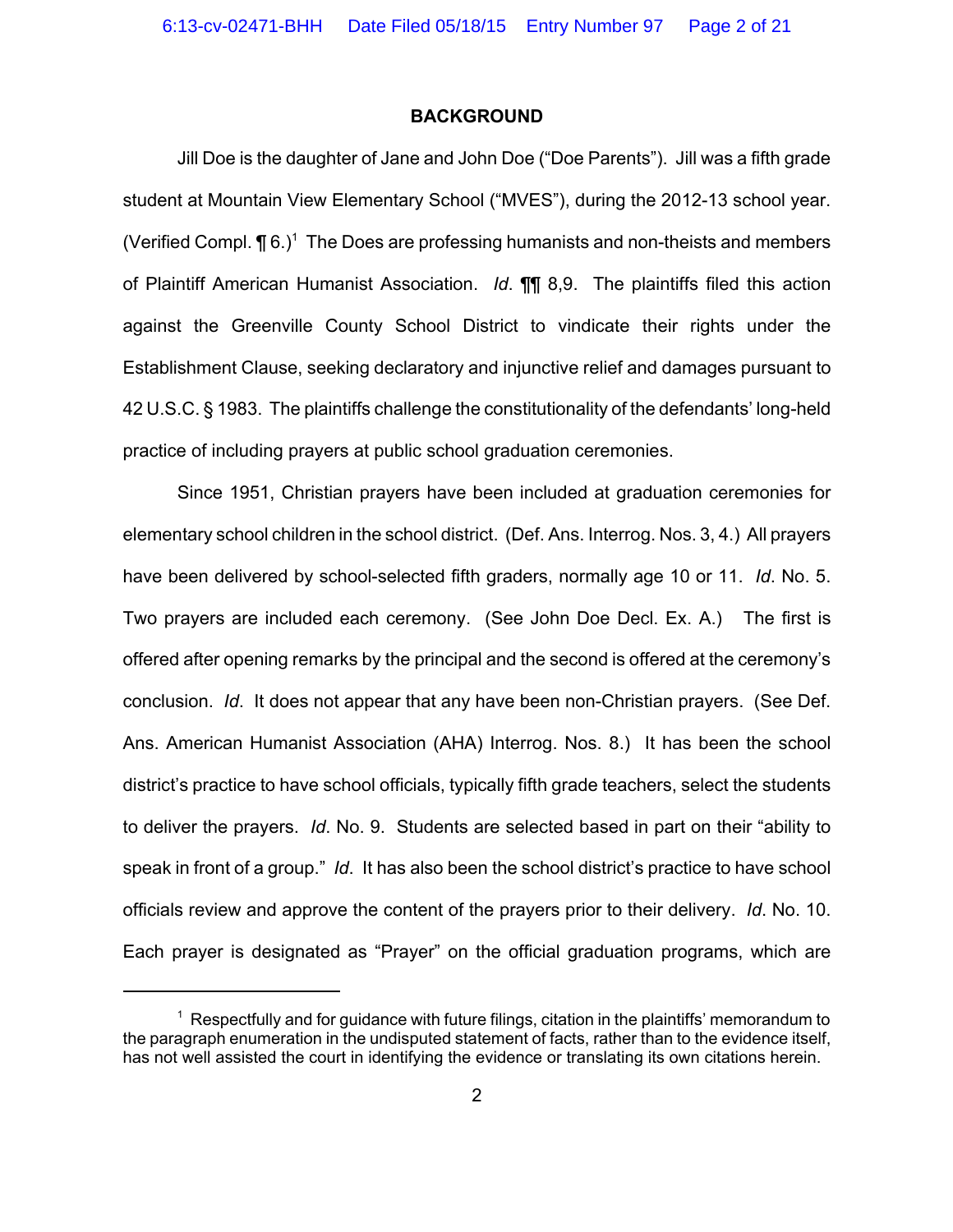### **BACKGROUND**

Jill Doe is the daughter of Jane and John Doe ("Doe Parents"). Jill was a fifth grade student at Mountain View Elementary School ("MVES"), during the 2012-13 school year. (Verified Compl.  $\P$  6.)<sup>1</sup> The Does are professing humanists and non-theists and members of Plaintiff American Humanist Association. *Id*. ¶¶ 8,9. The plaintiffs filed this action against the Greenville County School District to vindicate their rights under the Establishment Clause, seeking declaratory and injunctive relief and damages pursuant to 42 U.S.C. § 1983. The plaintiffs challenge the constitutionality of the defendants' long-held practice of including prayers at public school graduation ceremonies.

Since 1951, Christian prayers have been included at graduation ceremonies for elementary school children in the school district. (Def. Ans. Interrog. Nos. 3, 4.) All prayers have been delivered by school-selected fifth graders, normally age 10 or 11. *Id*. No. 5. Two prayers are included each ceremony. (See John Doe Decl. Ex. A.) The first is offered after opening remarks by the principal and the second is offered at the ceremony's conclusion. *Id*. It does not appear that any have been non-Christian prayers. (See Def. Ans. American Humanist Association (AHA) Interrog. Nos. 8.) It has been the school district's practice to have school officials, typically fifth grade teachers, select the students to deliver the prayers. *Id*. No. 9. Students are selected based in part on their "ability to speak in front of a group." *Id*. It has also been the school district's practice to have school officials review and approve the content of the prayers prior to their delivery. *Id*. No. 10. Each prayer is designated as "Prayer" on the official graduation programs, which are

 $1$  Respectfully and for guidance with future filings, citation in the plaintiffs' memorandum to the paragraph enumeration in the undisputed statement of facts, rather than to the evidence itself, has not well assisted the court in identifying the evidence or translating its own citations herein.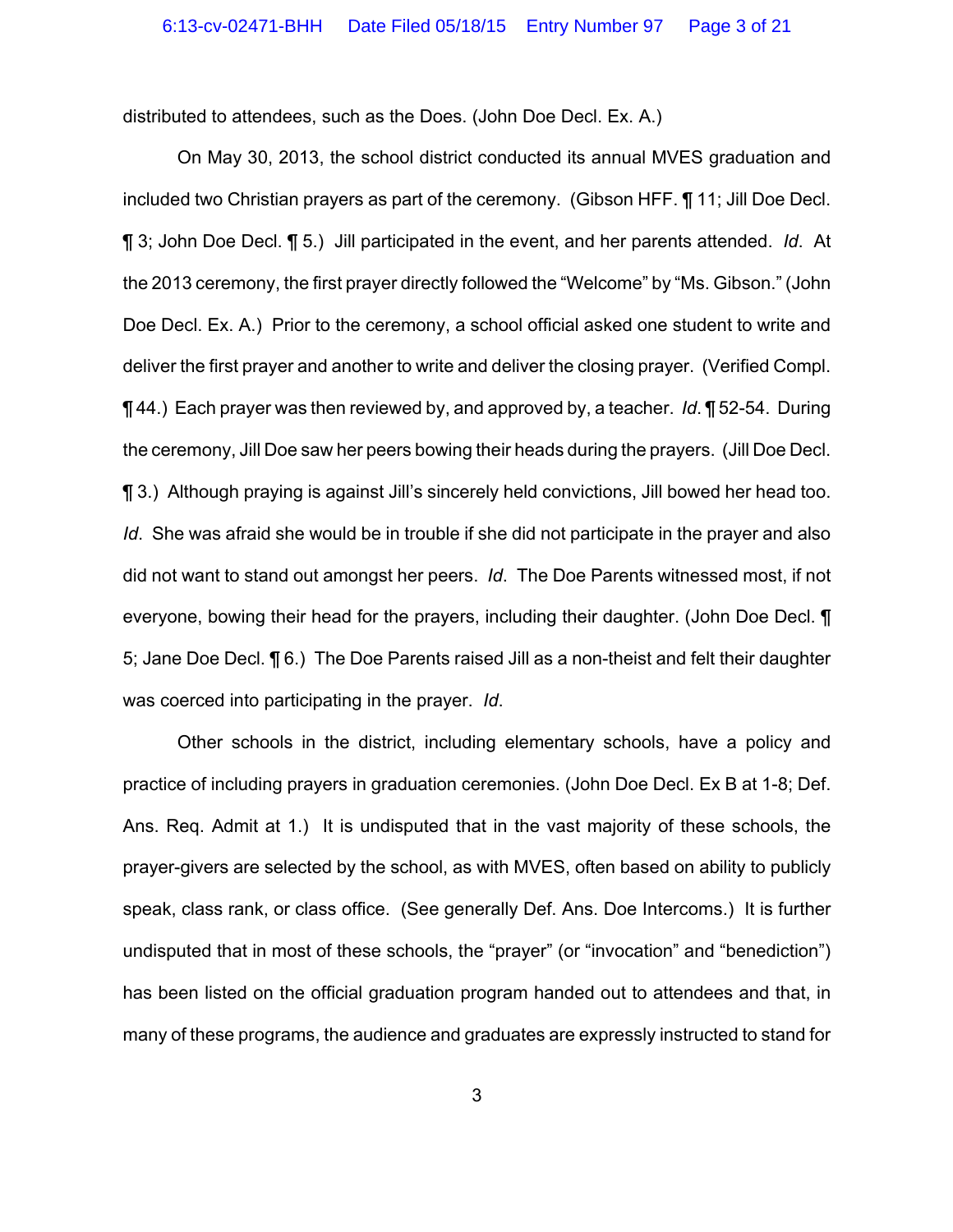distributed to attendees, such as the Does. (John Doe Decl. Ex. A.)

On May 30, 2013, the school district conducted its annual MVES graduation and included two Christian prayers as part of the ceremony. (Gibson HFF. ¶ 11; Jill Doe Decl. ¶ 3; John Doe Decl. ¶ 5.) Jill participated in the event, and her parents attended. *Id*. At the 2013 ceremony, the first prayer directly followed the "Welcome" by "Ms. Gibson." (John Doe Decl. Ex. A.) Prior to the ceremony, a school official asked one student to write and deliver the first prayer and another to write and deliver the closing prayer. (Verified Compl. ¶ 44.) Each prayer was then reviewed by, and approved by, a teacher. *Id*. ¶ 52-54. During the ceremony, Jill Doe saw her peers bowing their heads during the prayers. (Jill Doe Decl. ¶ 3.) Although praying is against Jill's sincerely held convictions, Jill bowed her head too. *Id*. She was afraid she would be in trouble if she did not participate in the prayer and also did not want to stand out amongst her peers. *Id*. The Doe Parents witnessed most, if not everyone, bowing their head for the prayers, including their daughter. (John Doe Decl. ¶ 5; Jane Doe Decl. ¶ 6.) The Doe Parents raised Jill as a non-theist and felt their daughter was coerced into participating in the prayer. *Id*.

Other schools in the district, including elementary schools, have a policy and practice of including prayers in graduation ceremonies. (John Doe Decl. Ex B at 1-8; Def. Ans. Req. Admit at 1.) It is undisputed that in the vast majority of these schools, the prayer-givers are selected by the school, as with MVES, often based on ability to publicly speak, class rank, or class office. (See generally Def. Ans. Doe Intercoms.) It is further undisputed that in most of these schools, the "prayer" (or "invocation" and "benediction") has been listed on the official graduation program handed out to attendees and that, in many of these programs, the audience and graduates are expressly instructed to stand for

3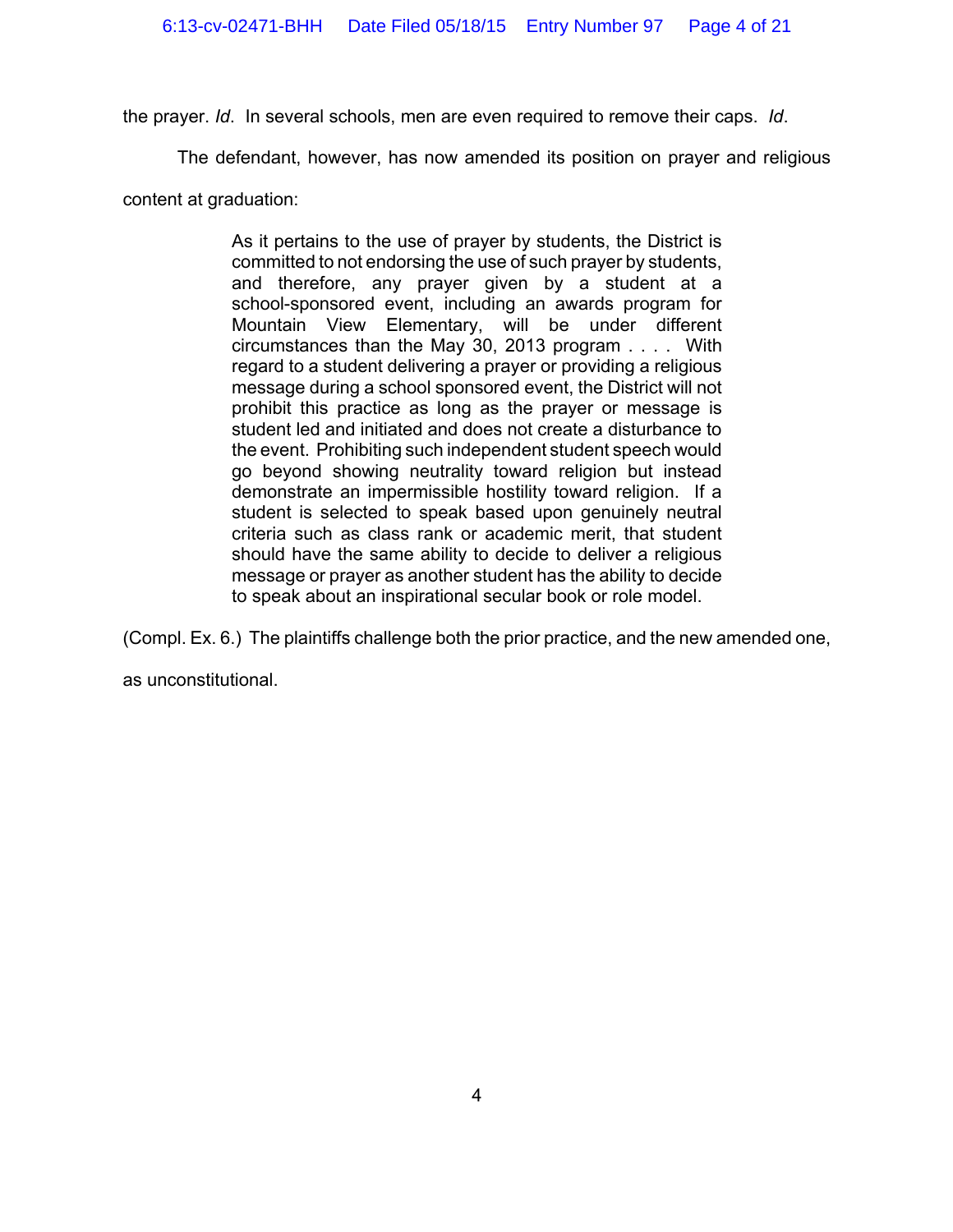the prayer. *Id*. In several schools, men are even required to remove their caps. *Id*.

The defendant, however, has now amended its position on prayer and religious

content at graduation:

As it pertains to the use of prayer by students, the District is committed to not endorsing the use of such prayer by students, and therefore, any prayer given by a student at a school-sponsored event, including an awards program for Mountain View Elementary, will be under different circumstances than the May 30, 2013 program . . . . With regard to a student delivering a prayer or providing a religious message during a school sponsored event, the District will not prohibit this practice as long as the prayer or message is student led and initiated and does not create a disturbance to the event. Prohibiting such independent student speech would go beyond showing neutrality toward religion but instead demonstrate an impermissible hostility toward religion. If a student is selected to speak based upon genuinely neutral criteria such as class rank or academic merit, that student should have the same ability to decide to deliver a religious message or prayer as another student has the ability to decide to speak about an inspirational secular book or role model.

(Compl. Ex. 6.) The plaintiffs challenge both the prior practice, and the new amended one,

as unconstitutional.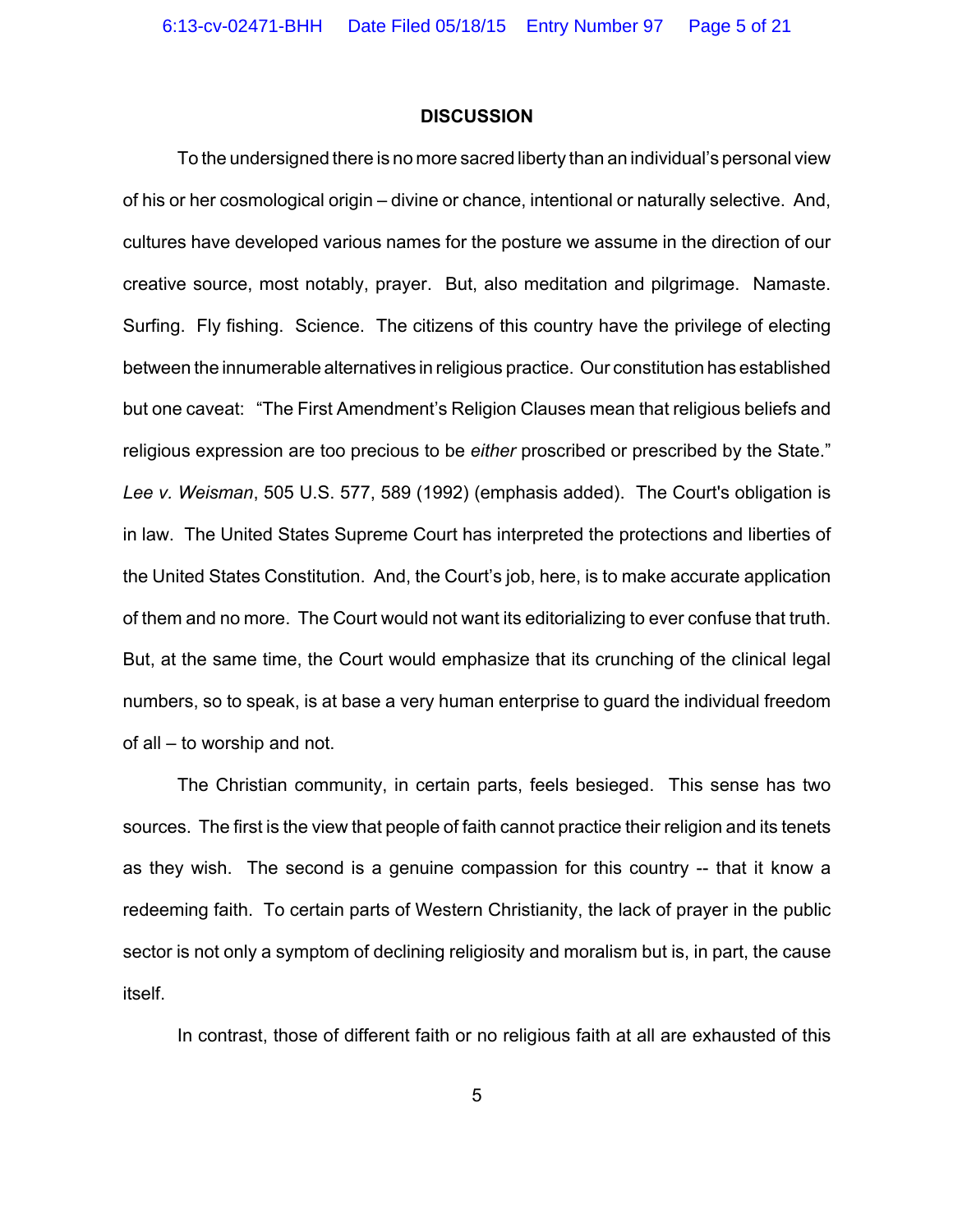#### **DISCUSSION**

To the undersigned there is no more sacred liberty than an individual's personal view of his or her cosmological origin – divine or chance, intentional or naturally selective. And, cultures have developed various names for the posture we assume in the direction of our creative source, most notably, prayer. But, also meditation and pilgrimage. Namaste. Surfing. Fly fishing. Science. The citizens of this country have the privilege of electing between the innumerable alternatives in religious practice. Our constitution has established but one caveat: "The First Amendment's Religion Clauses mean that religious beliefs and religious expression are too precious to be *either* proscribed or prescribed by the State." *Lee v. Weisman*, 505 U.S. 577, 589 (1992) (emphasis added). The Court's obligation is in law. The United States Supreme Court has interpreted the protections and liberties of the United States Constitution. And, the Court's job, here, is to make accurate application of them and no more. The Court would not want its editorializing to ever confuse that truth. But, at the same time, the Court would emphasize that its crunching of the clinical legal numbers, so to speak, is at base a very human enterprise to guard the individual freedom of all – to worship and not.

The Christian community, in certain parts, feels besieged. This sense has two sources. The first is the view that people of faith cannot practice their religion and its tenets as they wish. The second is a genuine compassion for this country -- that it know a redeeming faith. To certain parts of Western Christianity, the lack of prayer in the public sector is not only a symptom of declining religiosity and moralism but is, in part, the cause itself.

In contrast, those of different faith or no religious faith at all are exhausted of this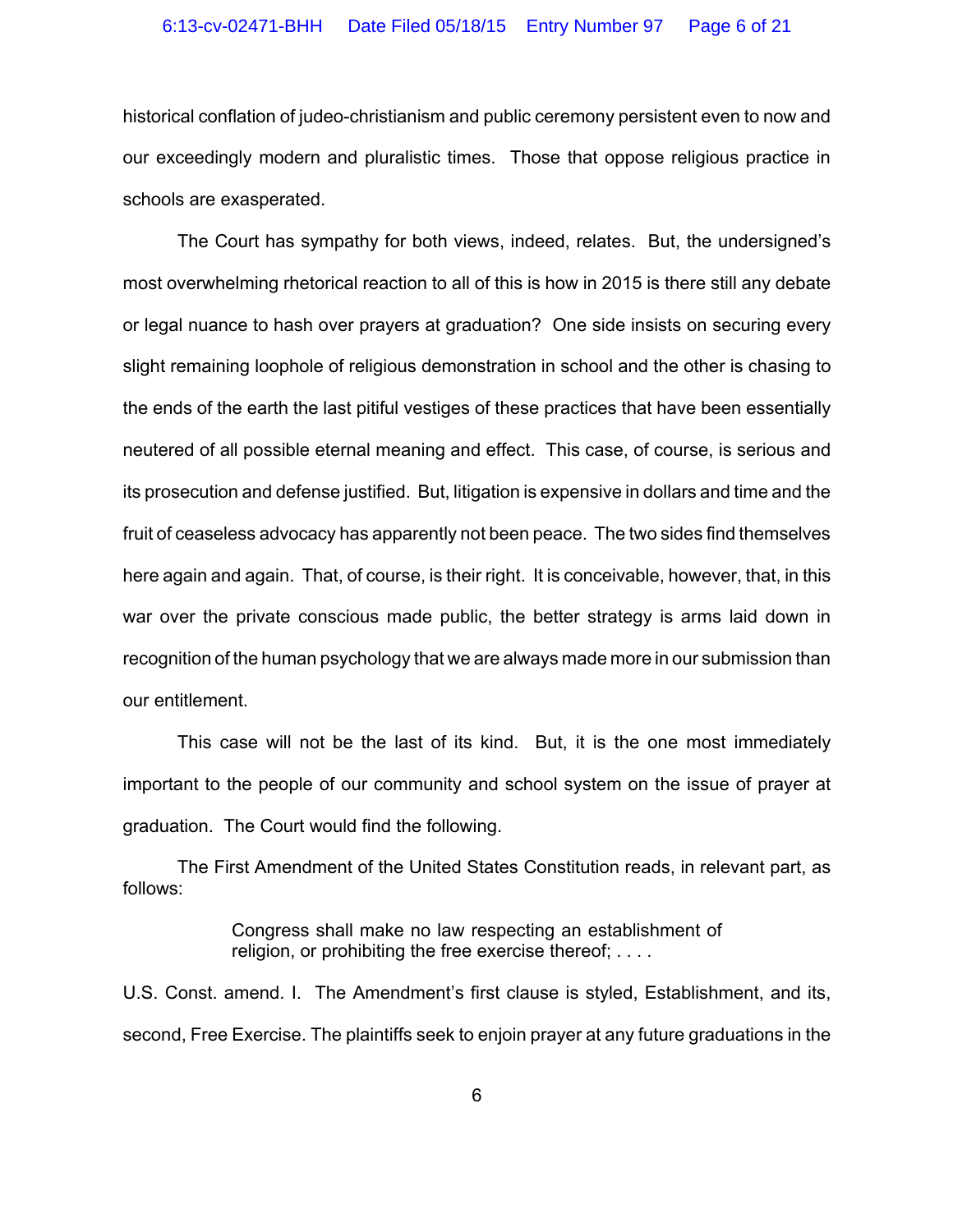historical conflation of judeo-christianism and public ceremony persistent even to now and our exceedingly modern and pluralistic times. Those that oppose religious practice in schools are exasperated.

The Court has sympathy for both views, indeed, relates. But, the undersigned's most overwhelming rhetorical reaction to all of this is how in 2015 is there still any debate or legal nuance to hash over prayers at graduation? One side insists on securing every slight remaining loophole of religious demonstration in school and the other is chasing to the ends of the earth the last pitiful vestiges of these practices that have been essentially neutered of all possible eternal meaning and effect. This case, of course, is serious and its prosecution and defense justified. But, litigation is expensive in dollars and time and the fruit of ceaseless advocacy has apparently not been peace. The two sides find themselves here again and again. That, of course, is their right. It is conceivable, however, that, in this war over the private conscious made public, the better strategy is arms laid down in recognition of the human psychology that we are always made more in our submission than our entitlement.

This case will not be the last of its kind. But, it is the one most immediately important to the people of our community and school system on the issue of prayer at graduation. The Court would find the following.

The First Amendment of the United States Constitution reads, in relevant part, as follows:

> Congress shall make no law respecting an establishment of religion, or prohibiting the free exercise thereof; . . . .

U.S. Const. amend. I. The Amendment's first clause is styled, Establishment, and its, second, Free Exercise. The plaintiffs seek to enjoin prayer at any future graduations in the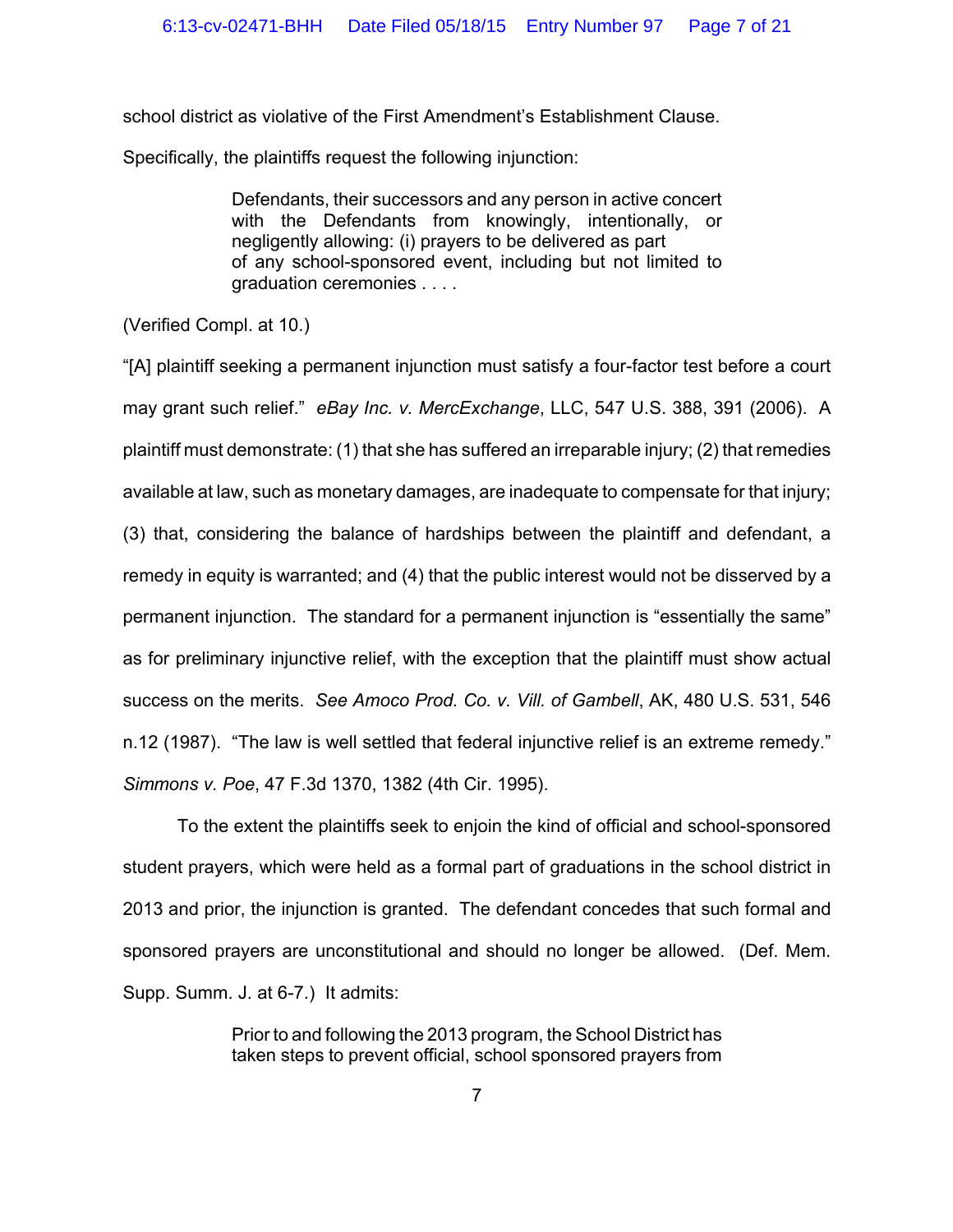school district as violative of the First Amendment's Establishment Clause.

Specifically, the plaintiffs request the following injunction:

Defendants, their successors and any person in active concert with the Defendants from knowingly, intentionally, or negligently allowing: (i) prayers to be delivered as part of any school-sponsored event, including but not limited to graduation ceremonies . . . .

(Verified Compl. at 10.)

"[A] plaintiff seeking a permanent injunction must satisfy a four-factor test before a court may grant such relief." *eBay Inc. v. MercExchange*, LLC, 547 U.S. 388, 391 (2006). A plaintiff must demonstrate: (1) that she has suffered an irreparable injury; (2) that remedies available at law, such as monetary damages, are inadequate to compensate for that injury; (3) that, considering the balance of hardships between the plaintiff and defendant, a remedy in equity is warranted; and (4) that the public interest would not be disserved by a permanent injunction. The standard for a permanent injunction is "essentially the same" as for preliminary injunctive relief, with the exception that the plaintiff must show actual success on the merits. *See Amoco Prod. Co. v. Vill. of Gambell*, AK, 480 U.S. 531, 546 n.12 (1987). "The law is well settled that federal injunctive relief is an extreme remedy." *Simmons v. Poe*, 47 F.3d 1370, 1382 (4th Cir. 1995).

To the extent the plaintiffs seek to enjoin the kind of official and school-sponsored student prayers, which were held as a formal part of graduations in the school district in 2013 and prior, the injunction is granted. The defendant concedes that such formal and sponsored prayers are unconstitutional and should no longer be allowed. (Def. Mem. Supp. Summ. J. at 6-7.) It admits:

> Prior to and following the 2013 program, the School District has taken steps to prevent official, school sponsored prayers from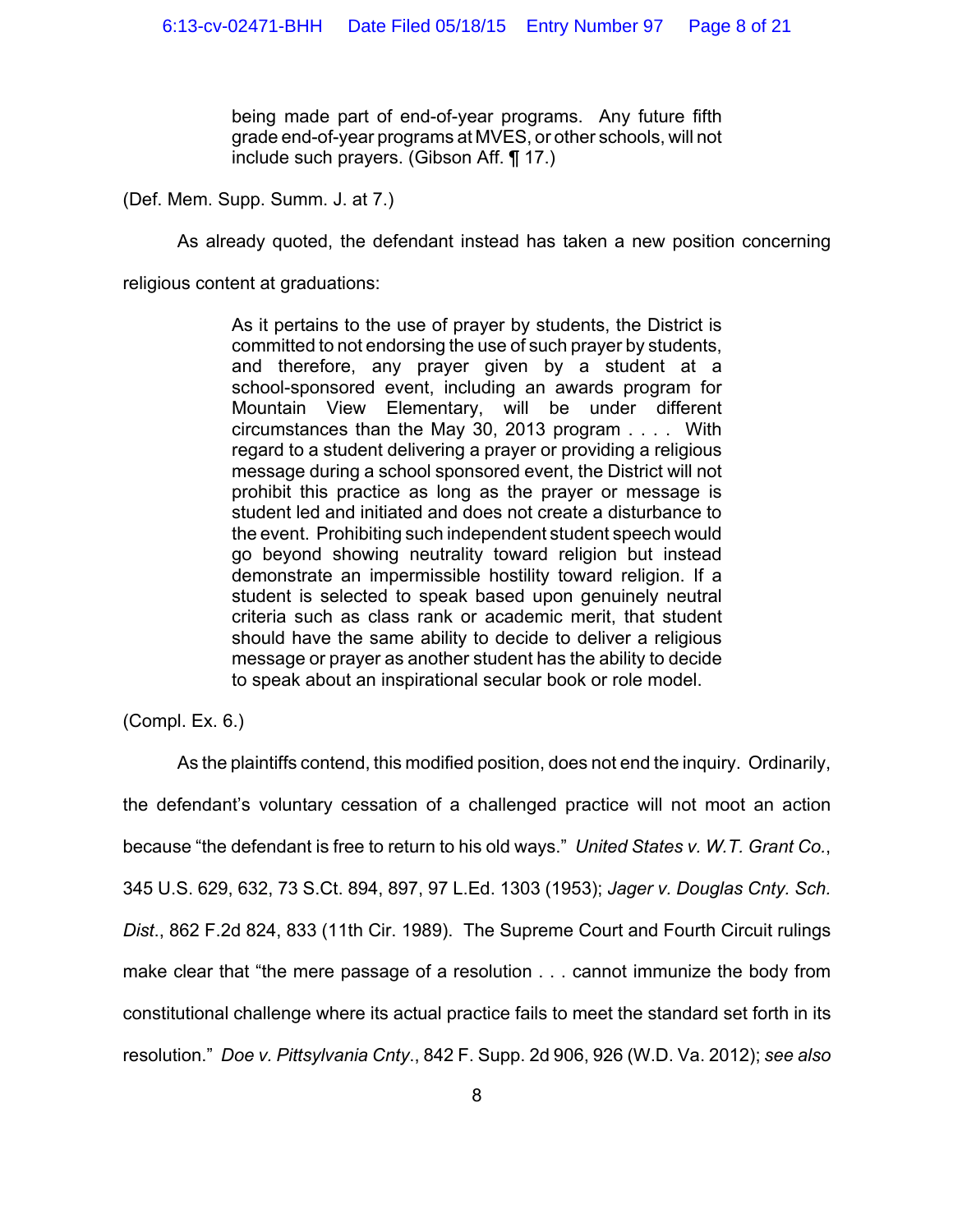being made part of end-of-year programs. Any future fifth grade end-of-year programs at MVES, or other schools, will not include such prayers. (Gibson Aff. ¶ 17.)

(Def. Mem. Supp. Summ. J. at 7.)

As already quoted, the defendant instead has taken a new position concerning

religious content at graduations:

As it pertains to the use of prayer by students, the District is committed to not endorsing the use of such prayer by students, and therefore, any prayer given by a student at a school-sponsored event, including an awards program for Mountain View Elementary, will be under different circumstances than the May 30, 2013 program . . . . With regard to a student delivering a prayer or providing a religious message during a school sponsored event, the District will not prohibit this practice as long as the prayer or message is student led and initiated and does not create a disturbance to the event. Prohibiting such independent student speech would go beyond showing neutrality toward religion but instead demonstrate an impermissible hostility toward religion. If a student is selected to speak based upon genuinely neutral criteria such as class rank or academic merit, that student should have the same ability to decide to deliver a religious message or prayer as another student has the ability to decide to speak about an inspirational secular book or role model.

(Compl. Ex. 6.)

As the plaintiffs contend, this modified position, does not end the inquiry. Ordinarily, the defendant's voluntary cessation of a challenged practice will not moot an action because "the defendant is free to return to his old ways." *United States v. W.T. Grant Co.*, 345 U.S. 629, 632, 73 S.Ct. 894, 897, 97 L.Ed. 1303 (1953); *Jager v. Douglas Cnty. Sch. Dist*., 862 F.2d 824, 833 (11th Cir. 1989). The Supreme Court and Fourth Circuit rulings make clear that "the mere passage of a resolution . . . cannot immunize the body from constitutional challenge where its actual practice fails to meet the standard set forth in its resolution." *Doe v. Pittsylvania Cnty*., 842 F. Supp. 2d 906, 926 (W.D. Va. 2012); *see also*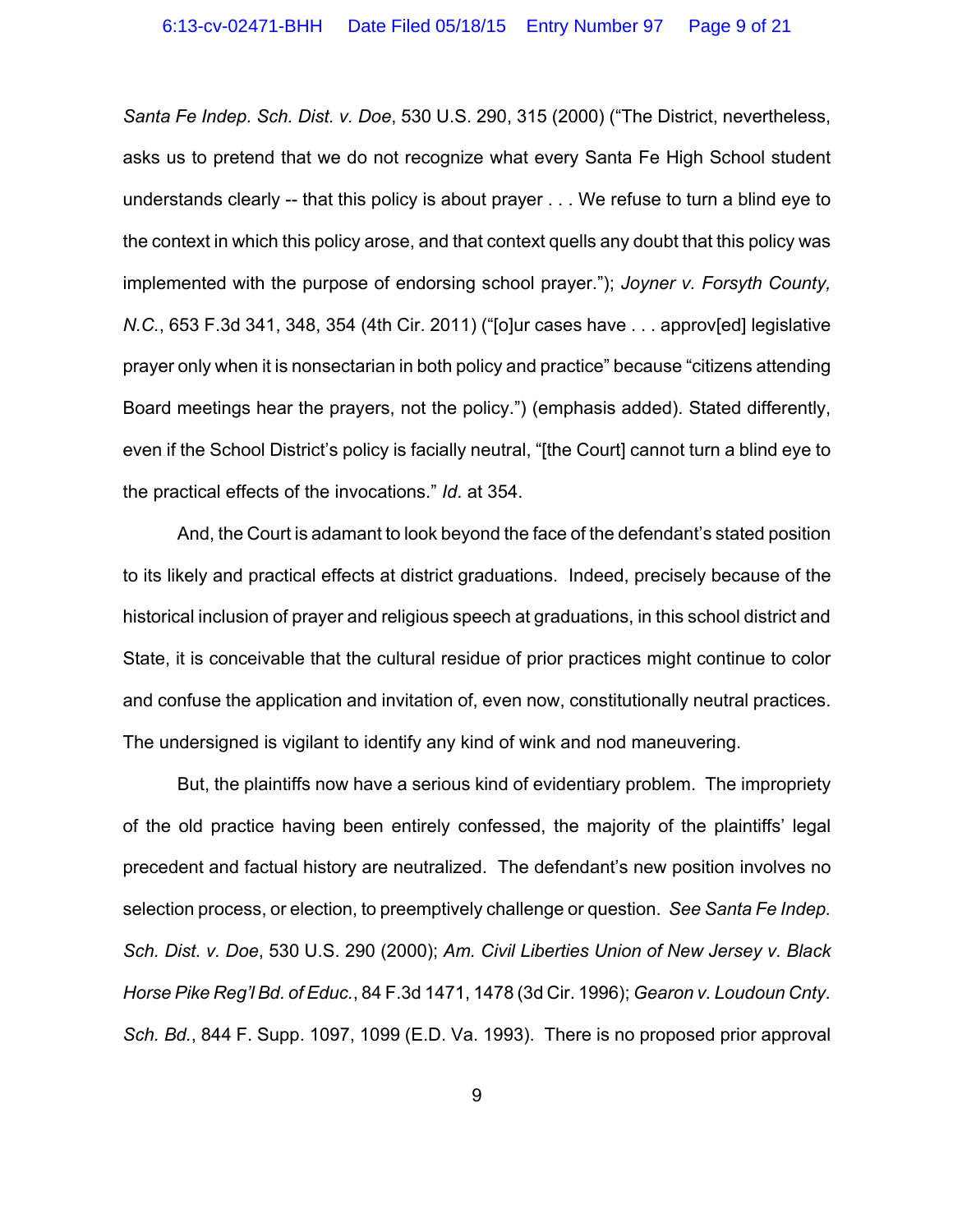*Santa Fe Indep. Sch. Dist. v. Doe*, 530 U.S. 290, 315 (2000) ("The District, nevertheless, asks us to pretend that we do not recognize what every Santa Fe High School student understands clearly -- that this policy is about prayer . . . We refuse to turn a blind eye to the context in which this policy arose, and that context quells any doubt that this policy was implemented with the purpose of endorsing school prayer."); *Joyner v. Forsyth County, N.C.*, 653 F.3d 341, 348, 354 (4th Cir. 2011) ("[o]ur cases have . . . approv[ed] legislative prayer only when it is nonsectarian in both policy and practice" because "citizens attending Board meetings hear the prayers, not the policy.") (emphasis added). Stated differently, even if the School District's policy is facially neutral, "[the Court] cannot turn a blind eye to the practical effects of the invocations." *Id*. at 354.

And, the Court is adamant to look beyond the face of the defendant's stated position to its likely and practical effects at district graduations. Indeed, precisely because of the historical inclusion of prayer and religious speech at graduations, in this school district and State, it is conceivable that the cultural residue of prior practices might continue to color and confuse the application and invitation of, even now, constitutionally neutral practices. The undersigned is vigilant to identify any kind of wink and nod maneuvering.

But, the plaintiffs now have a serious kind of evidentiary problem. The impropriety of the old practice having been entirely confessed, the majority of the plaintiffs' legal precedent and factual history are neutralized. The defendant's new position involves no selection process, or election, to preemptively challenge or question. *See Santa Fe Indep. Sch. Dist. v. Doe*, 530 U.S. 290 (2000); *Am. Civil Liberties Union of New Jersey v. Black Horse Pike Reg'l Bd. of Educ.*, 84 F.3d 1471, 1478 (3d Cir. 1996); *Gearon v. Loudoun Cnty. Sch. Bd.*, 844 F. Supp. 1097, 1099 (E.D. Va. 1993). There is no proposed prior approval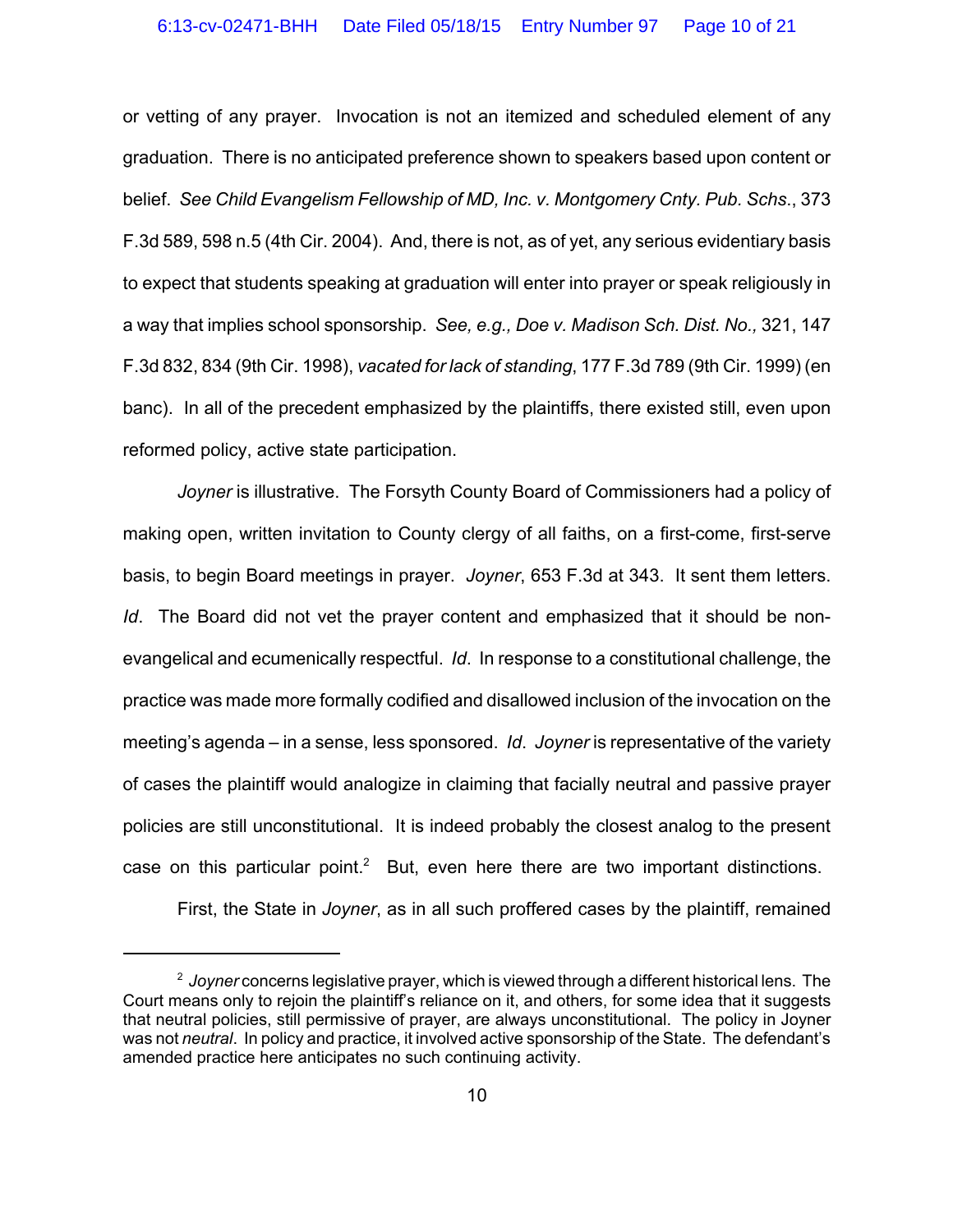or vetting of any prayer. Invocation is not an itemized and scheduled element of any graduation. There is no anticipated preference shown to speakers based upon content or belief. *See Child Evangelism Fellowship of MD, Inc. v. Montgomery Cnty. Pub. Schs*., 373 F.3d 589, 598 n.5 (4th Cir. 2004). And, there is not, as of yet, any serious evidentiary basis to expect that students speaking at graduation will enter into prayer or speak religiously in a way that implies school sponsorship. *See, e.g., Doe v. Madison Sch. Dist. No.,* 321, 147 F.3d 832, 834 (9th Cir. 1998), *vacated for lack of standing*, 177 F.3d 789 (9th Cir. 1999) (en banc). In all of the precedent emphasized by the plaintiffs, there existed still, even upon reformed policy, active state participation.

*Joyner* is illustrative. The Forsyth County Board of Commissioners had a policy of making open, written invitation to County clergy of all faiths, on a first-come, first-serve basis, to begin Board meetings in prayer. *Joyner*, 653 F.3d at 343. It sent them letters. *Id*. The Board did not vet the prayer content and emphasized that it should be nonevangelical and ecumenically respectful. *Id*. In response to a constitutional challenge, the practice was made more formally codified and disallowed inclusion of the invocation on the meeting's agenda – in a sense, less sponsored. *Id*. *Joyner* is representative of the variety of cases the plaintiff would analogize in claiming that facially neutral and passive prayer policies are still unconstitutional. It is indeed probably the closest analog to the present case on this particular point.<sup>2</sup> But, even here there are two important distinctions.

First, the State in *Joyner*, as in all such proffered cases by the plaintiff, remained

<sup>2</sup>  *Joyner* concerns legislative prayer, which is viewed through a different historical lens. The Court means only to rejoin the plaintiff's reliance on it, and others, for some idea that it suggests that neutral policies, still permissive of prayer, are always unconstitutional. The policy in Joyner was not *neutral*. In policy and practice, it involved active sponsorship of the State. The defendant's amended practice here anticipates no such continuing activity.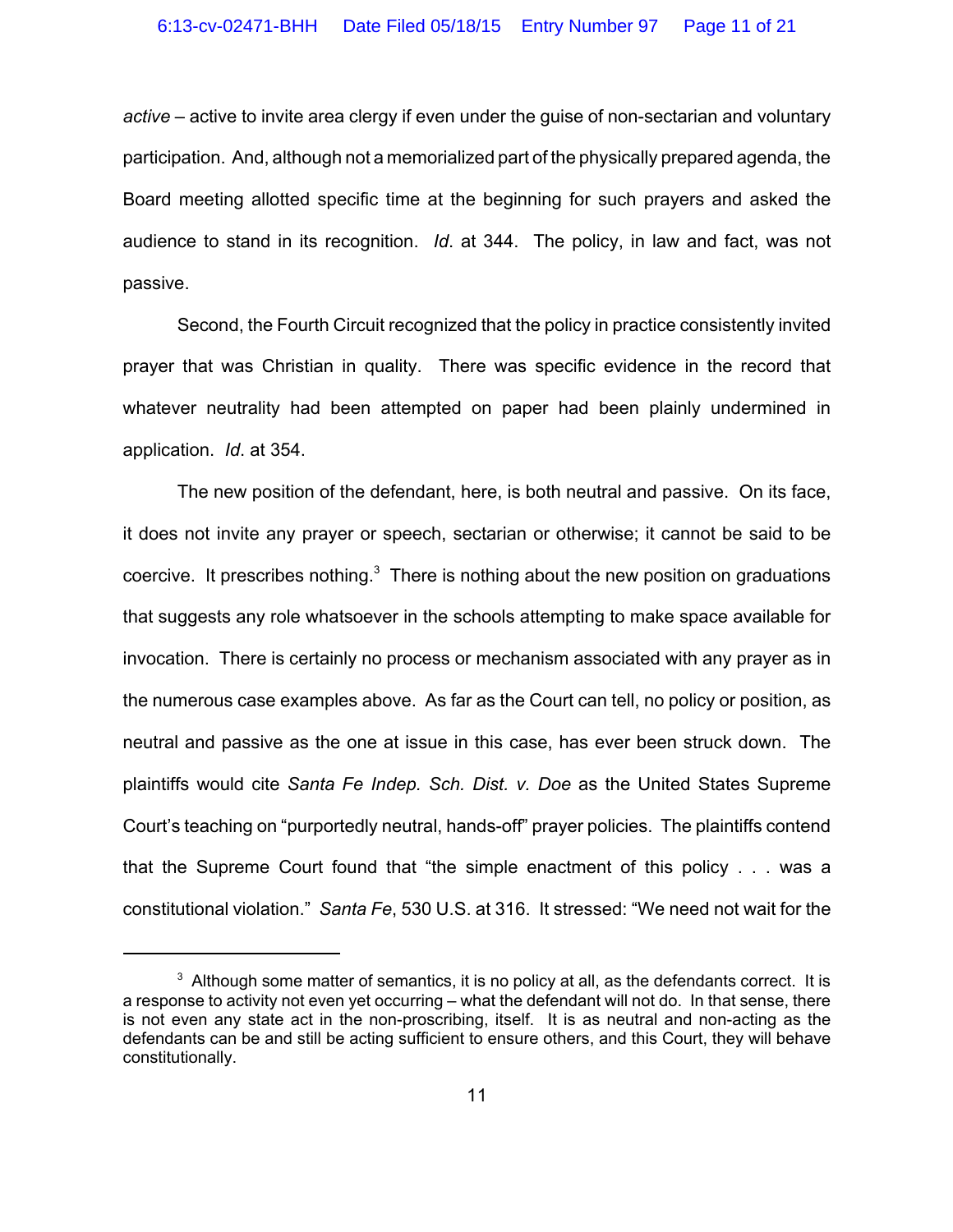*active* – active to invite area clergy if even under the guise of non-sectarian and voluntary participation. And, although not a memorialized part of the physically prepared agenda, the Board meeting allotted specific time at the beginning for such prayers and asked the audience to stand in its recognition. *Id*. at 344. The policy, in law and fact, was not passive.

Second, the Fourth Circuit recognized that the policy in practice consistently invited prayer that was Christian in quality. There was specific evidence in the record that whatever neutrality had been attempted on paper had been plainly undermined in application. *Id*. at 354.

The new position of the defendant, here, is both neutral and passive. On its face, it does not invite any prayer or speech, sectarian or otherwise; it cannot be said to be coercive. It prescribes nothing. $3$  There is nothing about the new position on graduations that suggests any role whatsoever in the schools attempting to make space available for invocation. There is certainly no process or mechanism associated with any prayer as in the numerous case examples above. As far as the Court can tell, no policy or position, as neutral and passive as the one at issue in this case, has ever been struck down. The plaintiffs would cite *Santa Fe Indep. Sch. Dist. v. Doe* as the United States Supreme Court's teaching on "purportedly neutral, hands-off" prayer policies. The plaintiffs contend that the Supreme Court found that "the simple enactment of this policy . . . was a constitutional violation." *Santa Fe*, 530 U.S. at 316. It stressed: "We need not wait for the

 $3$  Although some matter of semantics, it is no policy at all, as the defendants correct. It is a response to activity not even yet occurring – what the defendant will not do. In that sense, there is not even any state act in the non-proscribing, itself. It is as neutral and non-acting as the defendants can be and still be acting sufficient to ensure others, and this Court, they will behave constitutionally.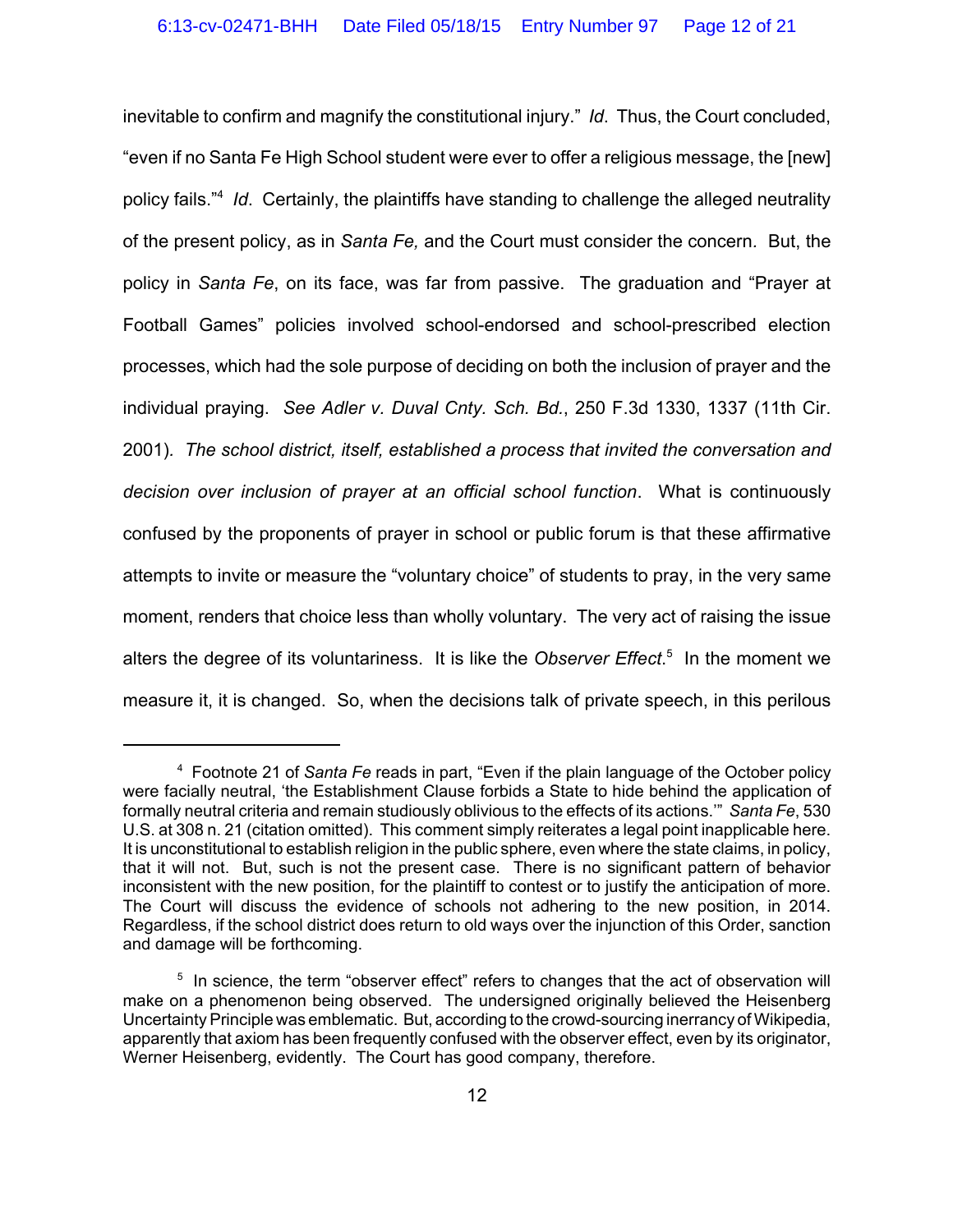inevitable to confirm and magnify the constitutional injury." *Id*. Thus, the Court concluded, "even if no Santa Fe High School student were ever to offer a religious message, the [new] policy fails."4 *Id*. Certainly, the plaintiffs have standing to challenge the alleged neutrality of the present policy, as in *Santa Fe,* and the Court must consider the concern*.* But, the policy in *Santa Fe*, on its face, was far from passive. The graduation and "Prayer at Football Games" policies involved school-endorsed and school-prescribed election processes, which had the sole purpose of deciding on both the inclusion of prayer and the individual praying. *See Adler v. Duval Cnty. Sch. Bd.*, 250 F.3d 1330, 1337 (11th Cir. 2001)*. The school district, itself, established a process that invited the conversation and decision over inclusion of prayer at an official school function*. What is continuously confused by the proponents of prayer in school or public forum is that these affirmative attempts to invite or measure the "voluntary choice" of students to pray, in the very same moment, renders that choice less than wholly voluntary. The very act of raising the issue alters the degree of its voluntariness. It is like the *Observer Effect*. 5 In the moment we measure it, it is changed. So, when the decisions talk of private speech, in this perilous

<sup>4</sup> Footnote 21 of *Santa Fe* reads in part, "Even if the plain language of the October policy were facially neutral, 'the Establishment Clause forbids a State to hide behind the application of formally neutral criteria and remain studiously oblivious to the effects of its actions.'" *Santa Fe*, 530 U.S. at 308 n. 21 (citation omitted). This comment simply reiterates a legal point inapplicable here. It is unconstitutional to establish religion in the public sphere, even where the state claims, in policy, that it will not. But, such is not the present case. There is no significant pattern of behavior inconsistent with the new position, for the plaintiff to contest or to justify the anticipation of more. The Court will discuss the evidence of schools not adhering to the new position, in 2014. Regardless, if the school district does return to old ways over the injunction of this Order, sanction and damage will be forthcoming.

<sup>&</sup>lt;sup>5</sup> In science, the term "observer effect" refers to changes that the act of observation will make on a phenomenon being observed. The undersigned originally believed the Heisenberg Uncertainty Principle was emblematic. But, according to the crowd-sourcing inerrancy of Wikipedia, apparently that axiom has been frequently confused with the observer effect, even by its originator, Werner Heisenberg, evidently. The Court has good company, therefore.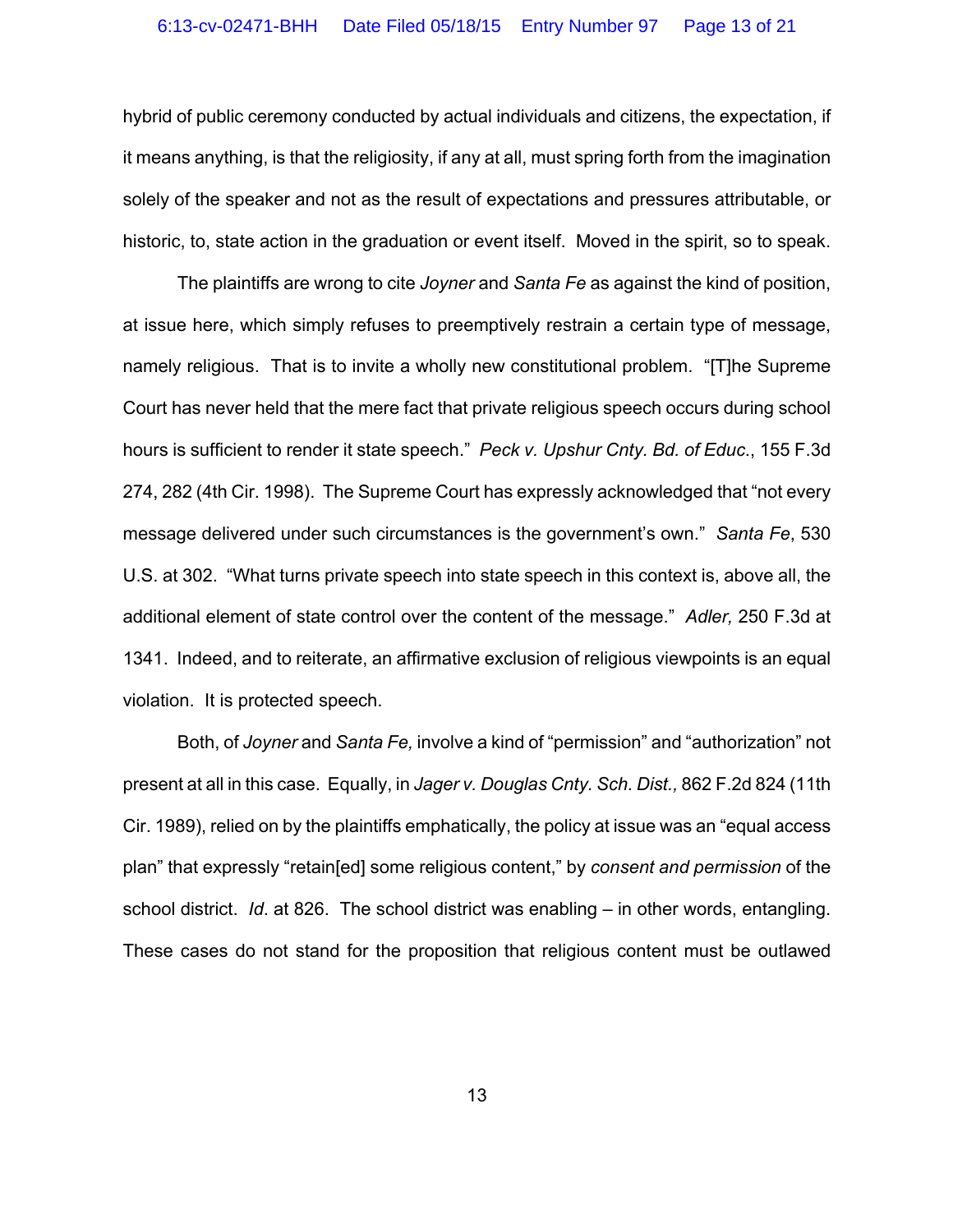hybrid of public ceremony conducted by actual individuals and citizens, the expectation, if it means anything, is that the religiosity, if any at all, must spring forth from the imagination solely of the speaker and not as the result of expectations and pressures attributable, or historic, to, state action in the graduation or event itself. Moved in the spirit, so to speak.

The plaintiffs are wrong to cite *Joyner* and *Santa Fe* as against the kind of position, at issue here, which simply refuses to preemptively restrain a certain type of message, namely religious. That is to invite a wholly new constitutional problem. "[T]he Supreme Court has never held that the mere fact that private religious speech occurs during school hours is sufficient to render it state speech." *Peck v. Upshur Cnty. Bd. of Educ*., 155 F.3d 274, 282 (4th Cir. 1998). The Supreme Court has expressly acknowledged that "not every message delivered under such circumstances is the government's own." *Santa Fe*, 530 U.S. at 302. "What turns private speech into state speech in this context is, above all, the additional element of state control over the content of the message." *Adler,* 250 F.3d at 1341. Indeed, and to reiterate, an affirmative exclusion of religious viewpoints is an equal violation. It is protected speech.

Both, of *Joyner* and *Santa Fe,* involve a kind of "permission" and "authorization" not present at all in this case. Equally, in *Jager v. Douglas Cnty. Sch. Dist.,* 862 F.2d 824 (11th Cir. 1989), relied on by the plaintiffs emphatically, the policy at issue was an "equal access plan" that expressly "retain[ed] some religious content," by *consent and permission* of the school district. *Id*. at 826. The school district was enabling – in other words, entangling. These cases do not stand for the proposition that religious content must be outlawed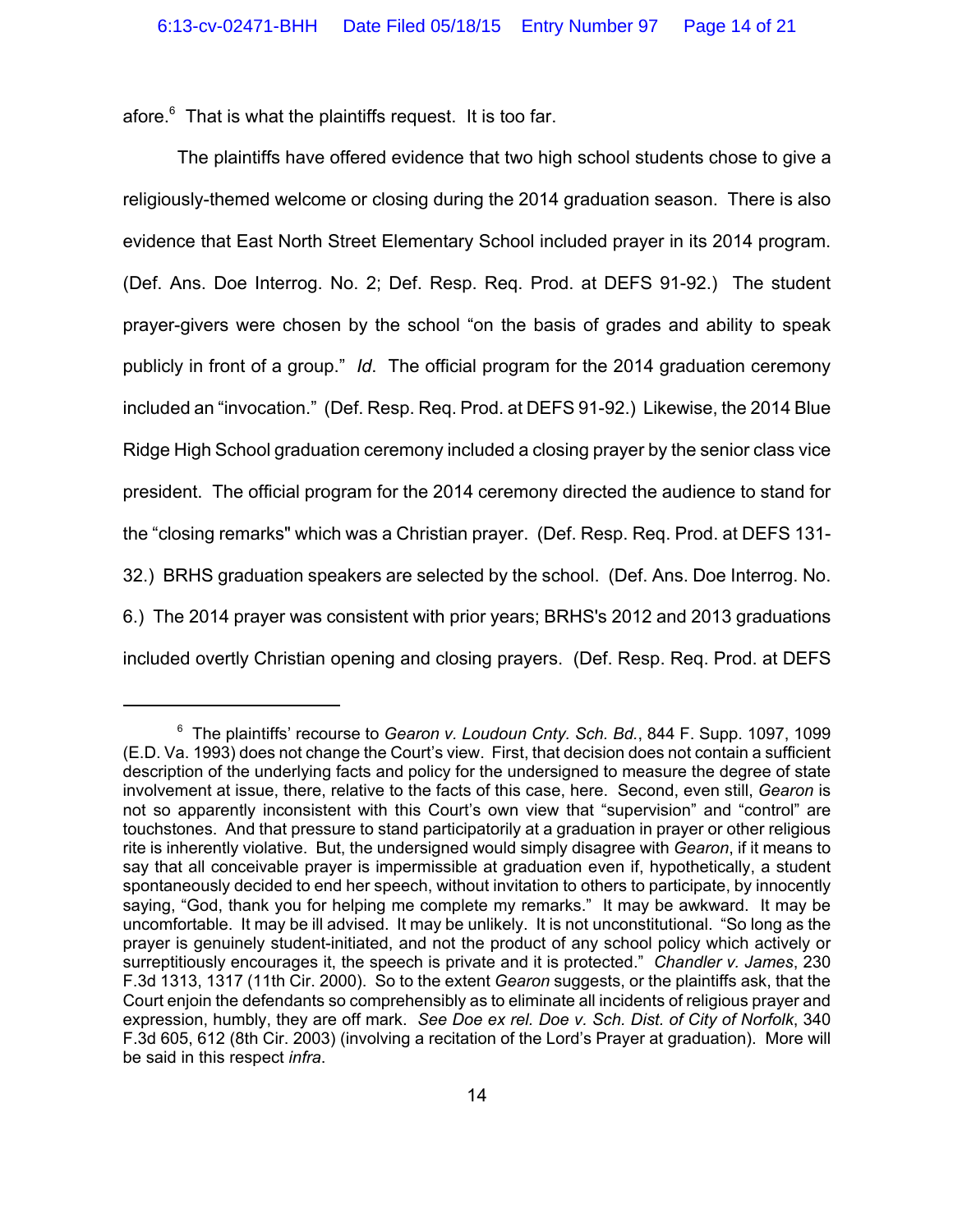afore.<sup>6</sup> That is what the plaintiffs request. It is too far.

The plaintiffs have offered evidence that two high school students chose to give a religiously-themed welcome or closing during the 2014 graduation season. There is also evidence that East North Street Elementary School included prayer in its 2014 program. (Def. Ans. Doe Interrog. No. 2; Def. Resp. Req. Prod. at DEFS 91-92.) The student prayer-givers were chosen by the school "on the basis of grades and ability to speak publicly in front of a group." *Id*. The official program for the 2014 graduation ceremony included an "invocation." (Def. Resp. Req. Prod. at DEFS 91-92.) Likewise, the 2014 Blue Ridge High School graduation ceremony included a closing prayer by the senior class vice president. The official program for the 2014 ceremony directed the audience to stand for the "closing remarks" which was a Christian prayer. (Def. Resp. Req. Prod. at DEFS 131- 32.) BRHS graduation speakers are selected by the school. (Def. Ans. Doe Interrog. No. 6.) The 2014 prayer was consistent with prior years; BRHS's 2012 and 2013 graduations included overtly Christian opening and closing prayers. (Def. Resp. Req. Prod. at DEFS

<sup>6</sup> The plaintiffs' recourse to *Gearon v. Loudoun Cnty. Sch. Bd.*, 844 F. Supp. 1097, 1099 (E.D. Va. 1993) does not change the Court's view. First, that decision does not contain a sufficient description of the underlying facts and policy for the undersigned to measure the degree of state involvement at issue, there, relative to the facts of this case, here. Second, even still, *Gearon* is not so apparently inconsistent with this Court's own view that "supervision" and "control" are touchstones. And that pressure to stand participatorily at a graduation in prayer or other religious rite is inherently violative. But, the undersigned would simply disagree with *Gearon*, if it means to say that all conceivable prayer is impermissible at graduation even if, hypothetically, a student spontaneously decided to end her speech, without invitation to others to participate, by innocently saying, "God, thank you for helping me complete my remarks." It may be awkward. It may be uncomfortable. It may be ill advised. It may be unlikely. It is not unconstitutional. "So long as the prayer is genuinely student-initiated, and not the product of any school policy which actively or surreptitiously encourages it, the speech is private and it is protected." *Chandler v. James*, 230 F.3d 1313, 1317 (11th Cir. 2000). So to the extent *Gearon* suggests, or the plaintiffs ask, that the Court enjoin the defendants so comprehensibly as to eliminate all incidents of religious prayer and expression, humbly, they are off mark. *See Doe ex rel. Doe v. Sch. Dist. of City of Norfolk*, 340 F.3d 605, 612 (8th Cir. 2003) (involving a recitation of the Lord's Prayer at graduation). More will be said in this respect *infra*.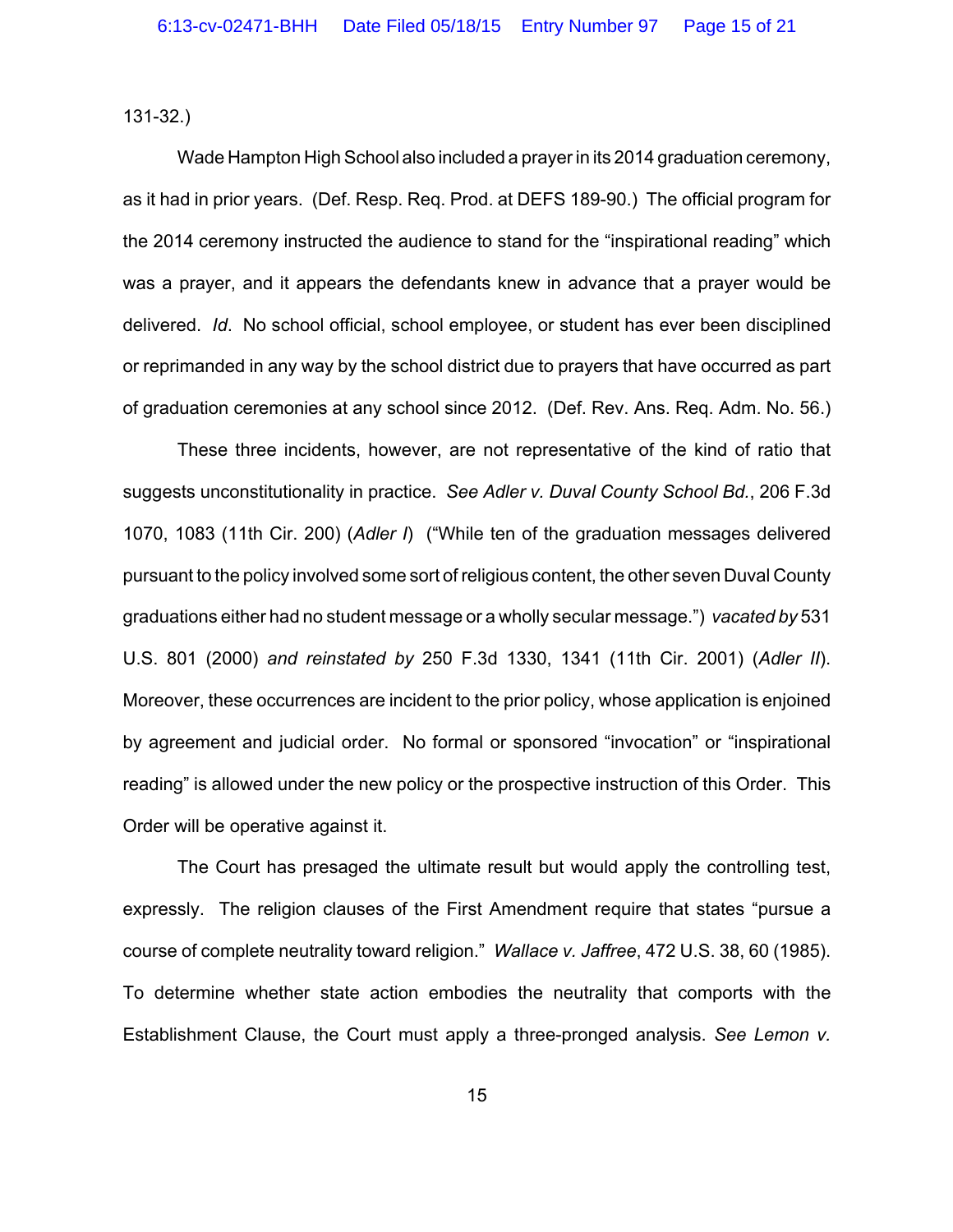131-32.)

Wade Hampton High School also included a prayer in its 2014 graduation ceremony, as it had in prior years. (Def. Resp. Req. Prod. at DEFS 189-90.) The official program for the 2014 ceremony instructed the audience to stand for the "inspirational reading" which was a prayer, and it appears the defendants knew in advance that a prayer would be delivered. *Id*. No school official, school employee, or student has ever been disciplined or reprimanded in any way by the school district due to prayers that have occurred as part of graduation ceremonies at any school since 2012. (Def. Rev. Ans. Req. Adm. No. 56.)

These three incidents, however, are not representative of the kind of ratio that suggests unconstitutionality in practice. *See Adler v. Duval County School Bd.*, 206 F.3d 1070, 1083 (11th Cir. 200) (*Adler I*) ("While ten of the graduation messages delivered pursuant to the policy involved some sort of religious content, the other seven Duval County graduations either had no student message or a wholly secular message.") *vacated by* 531 U.S. 801 (2000) *and reinstated by* 250 F.3d 1330, 1341 (11th Cir. 2001) (*Adler II*). Moreover, these occurrences are incident to the prior policy, whose application is enjoined by agreement and judicial order. No formal or sponsored "invocation" or "inspirational reading" is allowed under the new policy or the prospective instruction of this Order. This Order will be operative against it.

The Court has presaged the ultimate result but would apply the controlling test, expressly. The religion clauses of the First Amendment require that states "pursue a course of complete neutrality toward religion." *Wallace v. Jaffree*, 472 U.S. 38, 60 (1985). To determine whether state action embodies the neutrality that comports with the Establishment Clause, the Court must apply a three-pronged analysis. *See Lemon v.*

15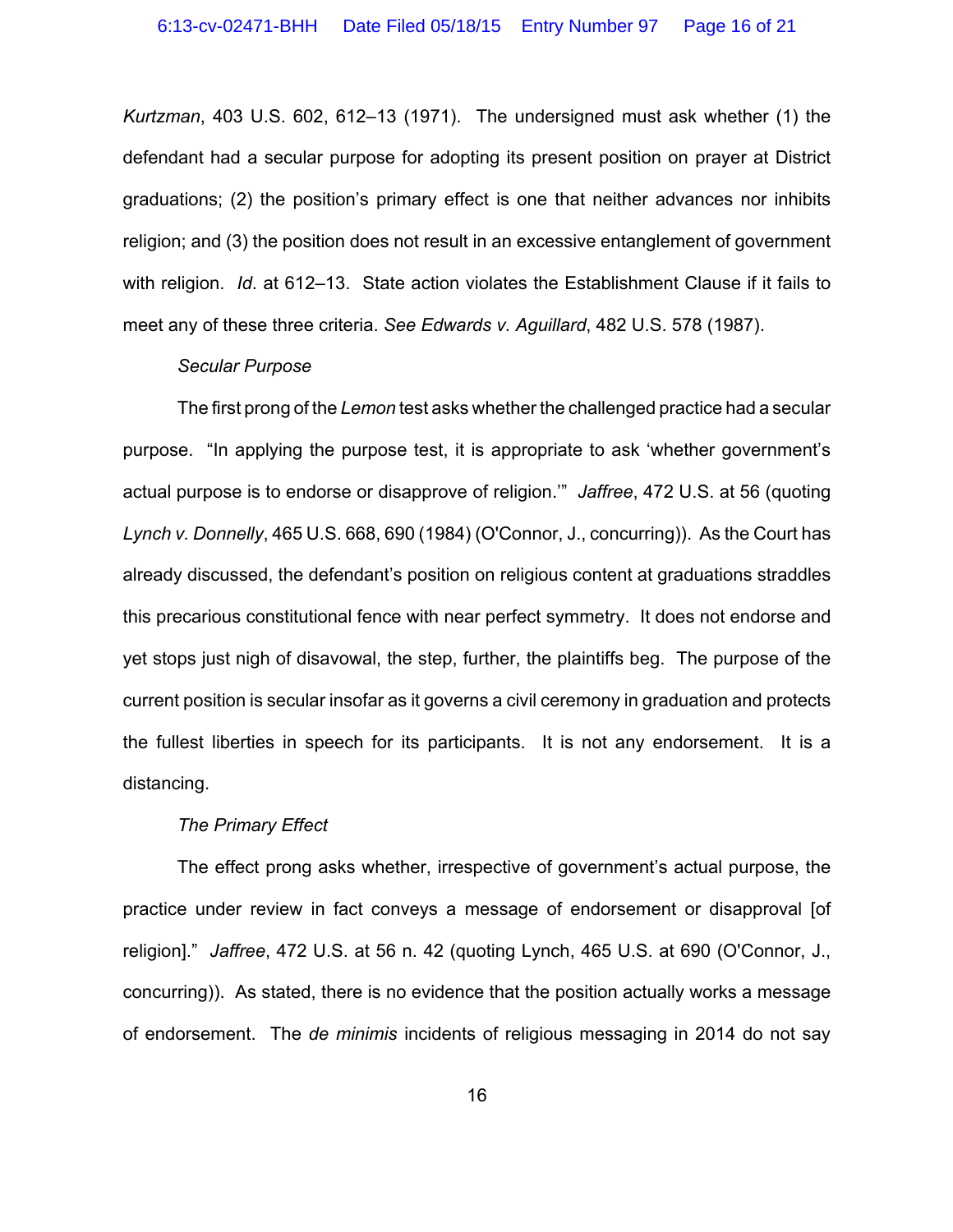*Kurtzman*, 403 U.S. 602, 612–13 (1971). The undersigned must ask whether (1) the defendant had a secular purpose for adopting its present position on prayer at District graduations; (2) the position's primary effect is one that neither advances nor inhibits religion; and (3) the position does not result in an excessive entanglement of government with religion. *Id*. at 612–13. State action violates the Establishment Clause if it fails to meet any of these three criteria. *See Edwards v. Aguillard*, 482 U.S. 578 (1987).

### *Secular Purpose*

The first prong of the *Lemon* test asks whether the challenged practice had a secular purpose. "In applying the purpose test, it is appropriate to ask 'whether government's actual purpose is to endorse or disapprove of religion.'" *Jaffree*, 472 U.S. at 56 (quoting *Lynch v. Donnelly*, 465 U.S. 668, 690 (1984) (O'Connor, J., concurring)). As the Court has already discussed, the defendant's position on religious content at graduations straddles this precarious constitutional fence with near perfect symmetry. It does not endorse and yet stops just nigh of disavowal, the step, further, the plaintiffs beg. The purpose of the current position is secular insofar as it governs a civil ceremony in graduation and protects the fullest liberties in speech for its participants. It is not any endorsement. It is a distancing.

### *The Primary Effect*

The effect prong asks whether, irrespective of government's actual purpose, the practice under review in fact conveys a message of endorsement or disapproval [of religion]." *Jaffree*, 472 U.S. at 56 n. 42 (quoting Lynch, 465 U.S. at 690 (O'Connor, J., concurring)). As stated, there is no evidence that the position actually works a message of endorsement. The *de minimis* incidents of religious messaging in 2014 do not say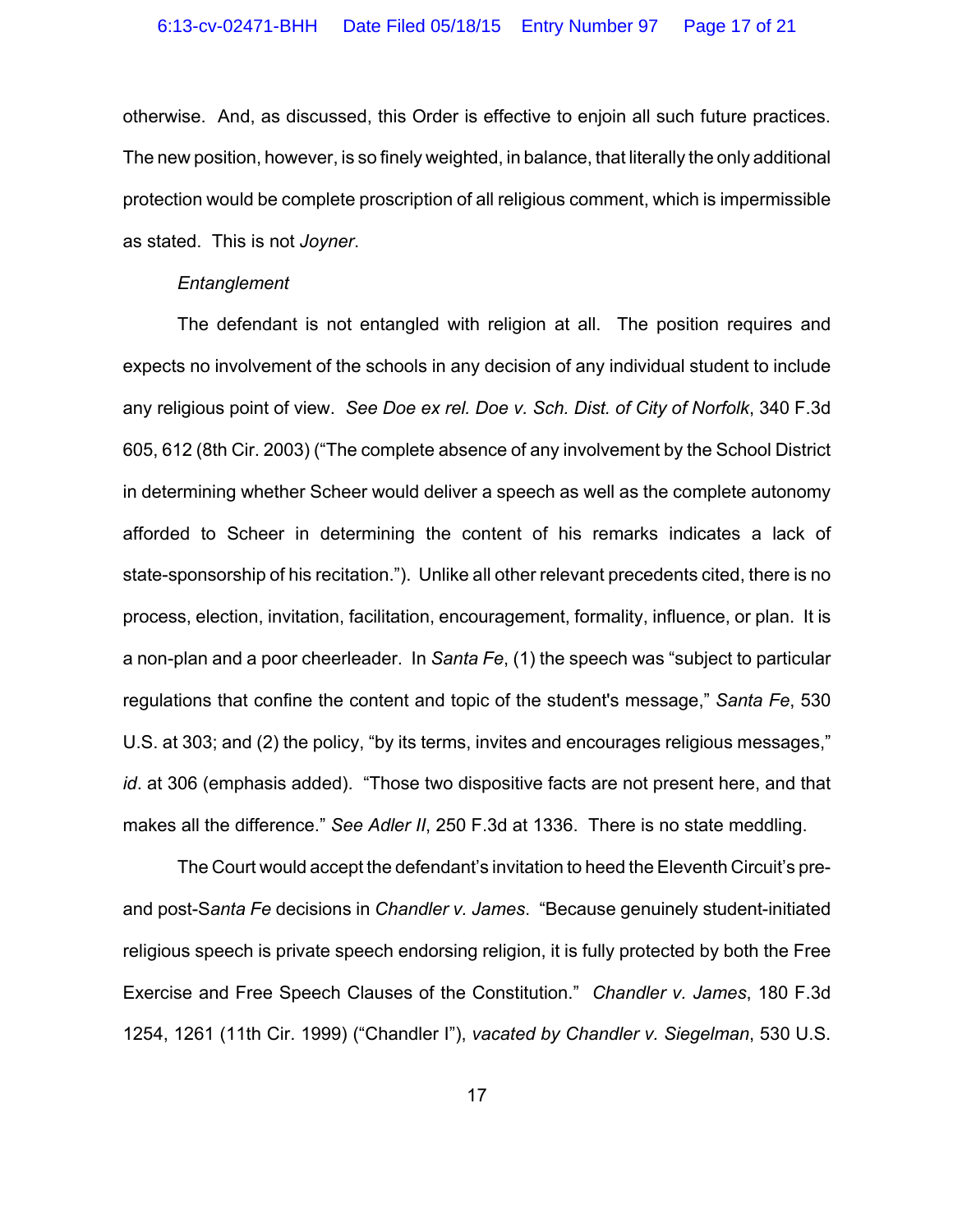otherwise. And, as discussed, this Order is effective to enjoin all such future practices. The new position, however, is so finely weighted, in balance, that literally the only additional protection would be complete proscription of all religious comment, which is impermissible as stated. This is not *Joyner*.

### *Entanglement*

The defendant is not entangled with religion at all. The position requires and expects no involvement of the schools in any decision of any individual student to include any religious point of view. *See Doe ex rel. Doe v. Sch. Dist. of City of Norfolk*, 340 F.3d 605, 612 (8th Cir. 2003) ("The complete absence of any involvement by the School District in determining whether Scheer would deliver a speech as well as the complete autonomy afforded to Scheer in determining the content of his remarks indicates a lack of state-sponsorship of his recitation."). Unlike all other relevant precedents cited, there is no process, election, invitation, facilitation, encouragement, formality, influence, or plan. It is a non-plan and a poor cheerleader. In *Santa Fe*, (1) the speech was "subject to particular regulations that confine the content and topic of the student's message," *Santa Fe*, 530 U.S. at 303; and (2) the policy, "by its terms, invites and encourages religious messages," *id*. at 306 (emphasis added). "Those two dispositive facts are not present here, and that makes all the difference." *See Adler II*, 250 F.3d at 1336. There is no state meddling.

The Court would accept the defendant's invitation to heed the Eleventh Circuit's preand post-S*anta Fe* decisions in *Chandler v. James*. "Because genuinely student-initiated religious speech is private speech endorsing religion, it is fully protected by both the Free Exercise and Free Speech Clauses of the Constitution." *Chandler v. James*, 180 F.3d 1254, 1261 (11th Cir. 1999) ("Chandler I"), *vacated by Chandler v. Siegelman*, 530 U.S.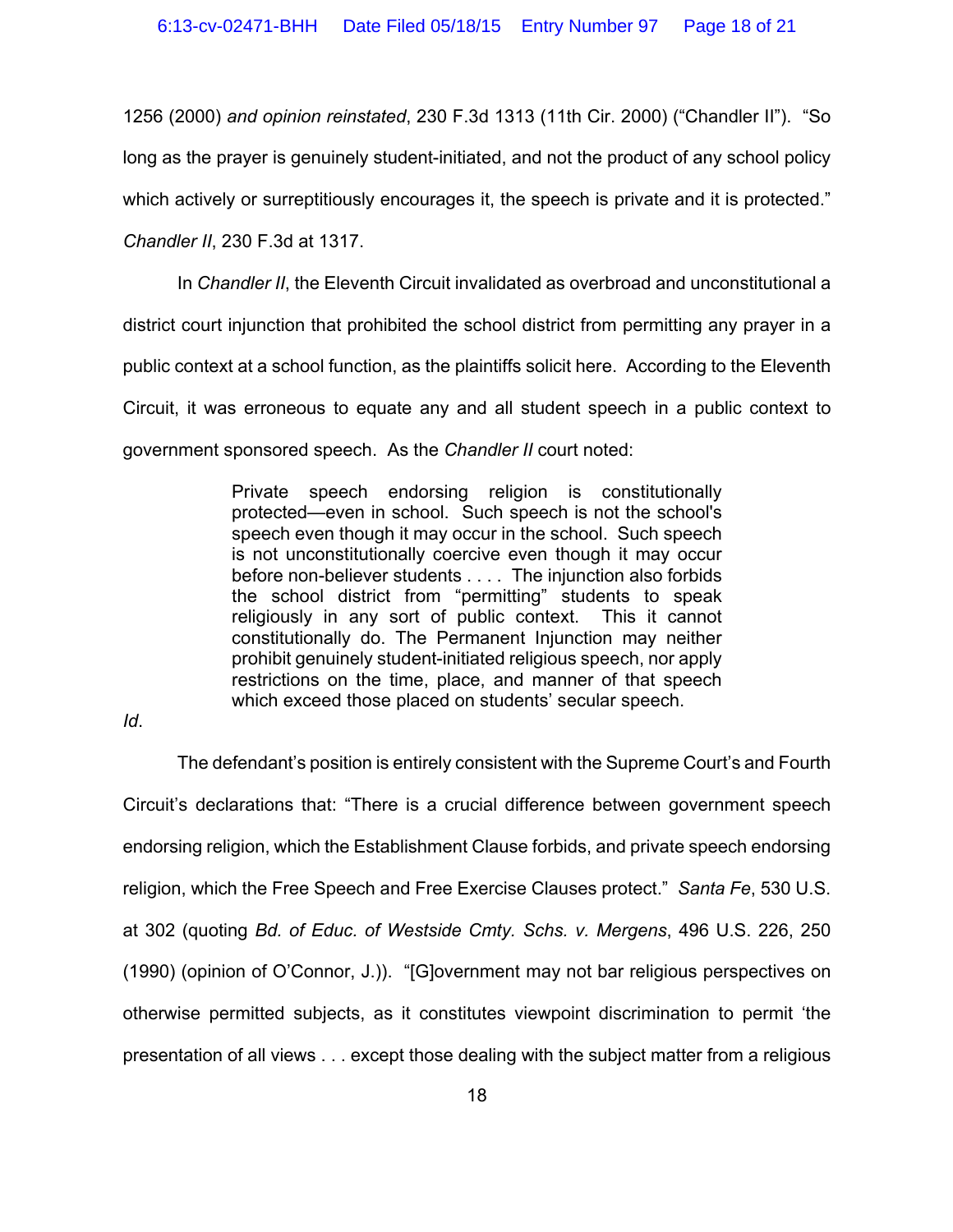1256 (2000) *and opinion reinstated*, 230 F.3d 1313 (11th Cir. 2000) ("Chandler II"). "So

long as the prayer is genuinely student-initiated, and not the product of any school policy

which actively or surreptitiously encourages it, the speech is private and it is protected."

*Chandler II*, 230 F.3d at 1317.

In *Chandler II*, the Eleventh Circuit invalidated as overbroad and unconstitutional a

district court injunction that prohibited the school district from permitting any prayer in a

public context at a school function, as the plaintiffs solicit here. According to the Eleventh

Circuit, it was erroneous to equate any and all student speech in a public context to

government sponsored speech. As the *Chandler II* court noted:

Private speech endorsing religion is constitutionally protected—even in school. Such speech is not the school's speech even though it may occur in the school. Such speech is not unconstitutionally coercive even though it may occur before non-believer students . . . . The injunction also forbids the school district from "permitting" students to speak religiously in any sort of public context. This it cannot constitutionally do. The Permanent Injunction may neither prohibit genuinely student-initiated religious speech, nor apply restrictions on the time, place, and manner of that speech which exceed those placed on students' secular speech.

*Id*.

The defendant's position is entirely consistent with the Supreme Court's and Fourth Circuit's declarations that: "There is a crucial difference between government speech endorsing religion, which the Establishment Clause forbids, and private speech endorsing religion, which the Free Speech and Free Exercise Clauses protect." *Santa Fe*, 530 U.S. at 302 (quoting *Bd. of Educ. of Westside Cmty. Schs. v. Mergens*, 496 U.S. 226, 250 (1990) (opinion of O'Connor, J.)). "[G]overnment may not bar religious perspectives on otherwise permitted subjects, as it constitutes viewpoint discrimination to permit 'the presentation of all views . . . except those dealing with the subject matter from a religious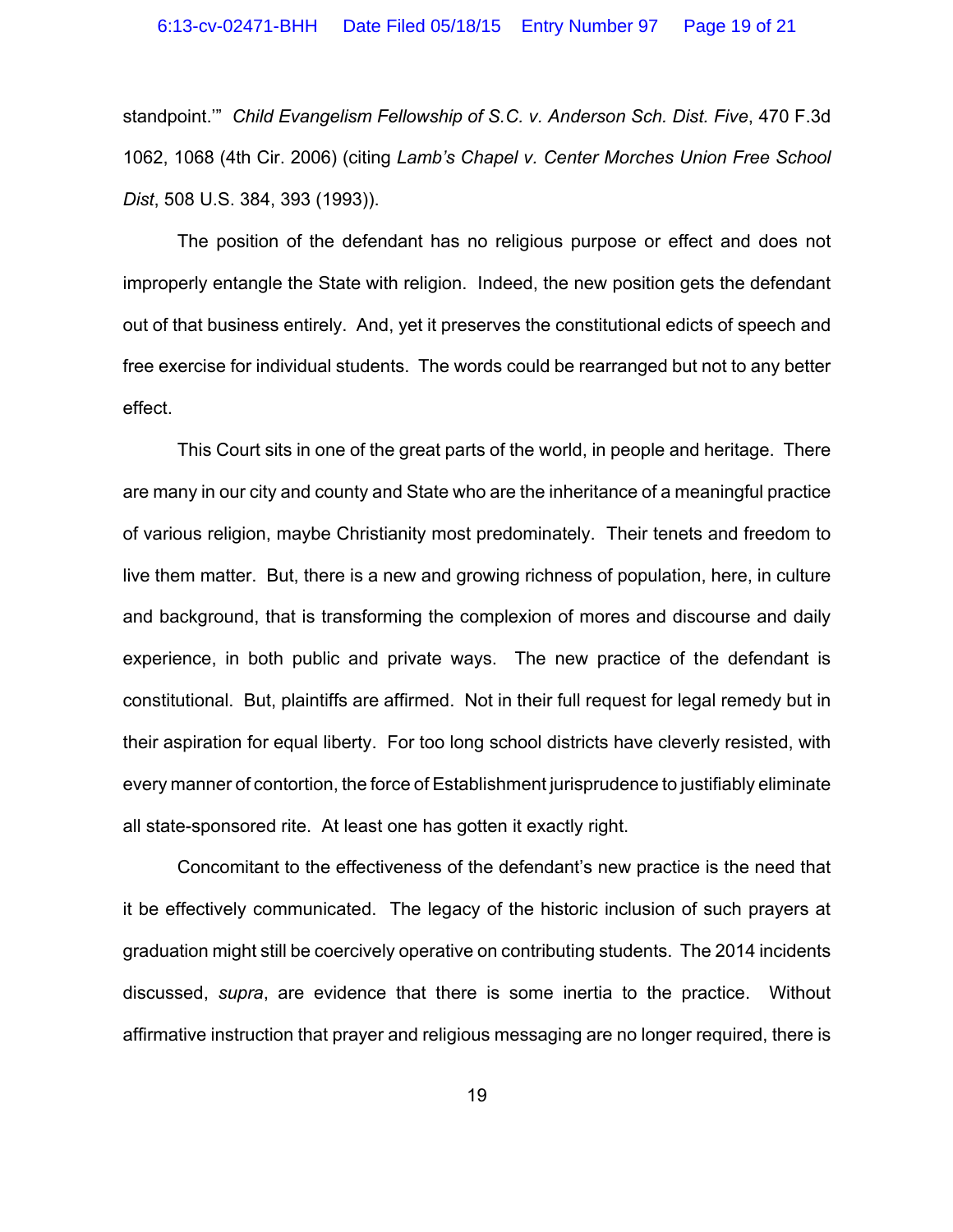standpoint.'" *Child Evangelism Fellowship of S.C. v. Anderson Sch. Dist. Five*, 470 F.3d 1062, 1068 (4th Cir. 2006) (citing *Lamb's Chapel v. Center Morches Union Free School Dist*, 508 U.S. 384, 393 (1993)).

The position of the defendant has no religious purpose or effect and does not improperly entangle the State with religion. Indeed, the new position gets the defendant out of that business entirely. And, yet it preserves the constitutional edicts of speech and free exercise for individual students. The words could be rearranged but not to any better effect.

This Court sits in one of the great parts of the world, in people and heritage. There are many in our city and county and State who are the inheritance of a meaningful practice of various religion, maybe Christianity most predominately. Their tenets and freedom to live them matter. But, there is a new and growing richness of population, here, in culture and background, that is transforming the complexion of mores and discourse and daily experience, in both public and private ways. The new practice of the defendant is constitutional. But, plaintiffs are affirmed. Not in their full request for legal remedy but in their aspiration for equal liberty. For too long school districts have cleverly resisted, with every manner of contortion, the force of Establishment jurisprudence to justifiably eliminate all state-sponsored rite. At least one has gotten it exactly right.

Concomitant to the effectiveness of the defendant's new practice is the need that it be effectively communicated. The legacy of the historic inclusion of such prayers at graduation might still be coercively operative on contributing students. The 2014 incidents discussed, *supra*, are evidence that there is some inertia to the practice. Without affirmative instruction that prayer and religious messaging are no longer required, there is

19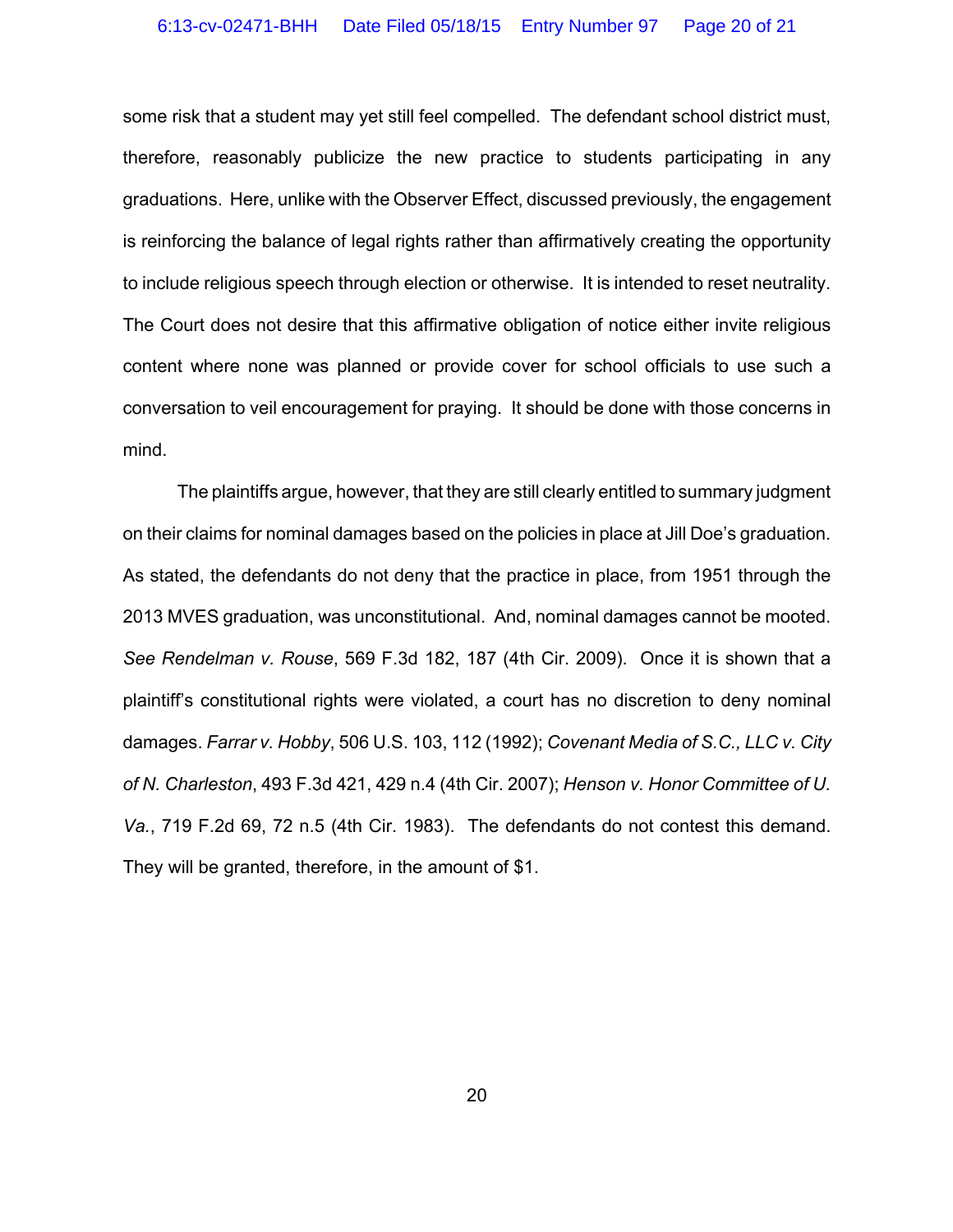some risk that a student may yet still feel compelled. The defendant school district must, therefore, reasonably publicize the new practice to students participating in any graduations. Here, unlike with the Observer Effect, discussed previously, the engagement is reinforcing the balance of legal rights rather than affirmatively creating the opportunity to include religious speech through election or otherwise. It is intended to reset neutrality. The Court does not desire that this affirmative obligation of notice either invite religious content where none was planned or provide cover for school officials to use such a conversation to veil encouragement for praying. It should be done with those concerns in mind.

The plaintiffs argue, however, that they are still clearly entitled to summary judgment on their claims for nominal damages based on the policies in place at Jill Doe's graduation. As stated, the defendants do not deny that the practice in place, from 1951 through the 2013 MVES graduation, was unconstitutional. And, nominal damages cannot be mooted. *See Rendelman v. Rouse*, 569 F.3d 182, 187 (4th Cir. 2009). Once it is shown that a plaintiff's constitutional rights were violated, a court has no discretion to deny nominal damages. *Farrar v. Hobby*, 506 U.S. 103, 112 (1992); *Covenant Media of S.C., LLC v. City of N. Charleston*, 493 F.3d 421, 429 n.4 (4th Cir. 2007); *Henson v. Honor Committee of U. Va.*, 719 F.2d 69, 72 n.5 (4th Cir. 1983). The defendants do not contest this demand. They will be granted, therefore, in the amount of \$1.